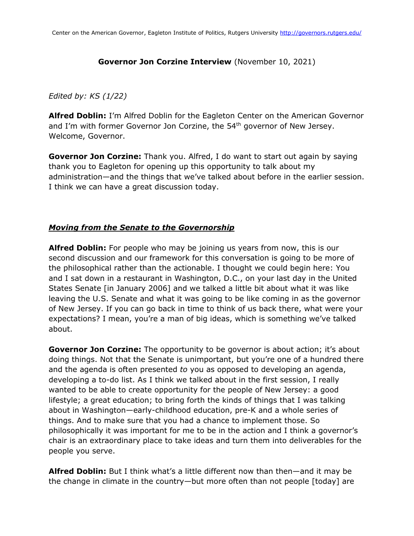### **Governor Jon Corzine Interview** (November 10, 2021)

## *Edited by: KS (1/22)*

**Alfred Doblin:** I'm Alfred Doblin for the Eagleton Center on the American Governor and I'm with former Governor Jon Corzine, the 54<sup>th</sup> governor of New Jersey. Welcome, Governor.

**Governor Jon Corzine:** Thank you. Alfred, I do want to start out again by saying thank you to Eagleton for opening up this opportunity to talk about my administration—and the things that we've talked about before in the earlier session. I think we can have a great discussion today.

### *Moving from the Senate to the Governorship*

**Alfred Doblin:** For people who may be joining us years from now, this is our second discussion and our framework for this conversation is going to be more of the philosophical rather than the actionable. I thought we could begin here: You and I sat down in a restaurant in Washington, D.C., on your last day in the United States Senate [in January 2006] and we talked a little bit about what it was like leaving the U.S. Senate and what it was going to be like coming in as the governor of New Jersey. If you can go back in time to think of us back there, what were your expectations? I mean, you're a man of big ideas, which is something we've talked about.

**Governor Jon Corzine:** The opportunity to be governor is about action; it's about doing things. Not that the Senate is unimportant, but you're one of a hundred there and the agenda is often presented *to* you as opposed to developing an agenda, developing a to-do list. As I think we talked about in the first session, I really wanted to be able to create opportunity for the people of New Jersey: a good lifestyle; a great education; to bring forth the kinds of things that I was talking about in Washington—early-childhood education, pre-K and a whole series of things. And to make sure that you had a chance to implement those. So philosophically it was important for me to be in the action and I think a governor's chair is an extraordinary place to take ideas and turn them into deliverables for the people you serve.

**Alfred Doblin:** But I think what's a little different now than then—and it may be the change in climate in the country—but more often than not people [today] are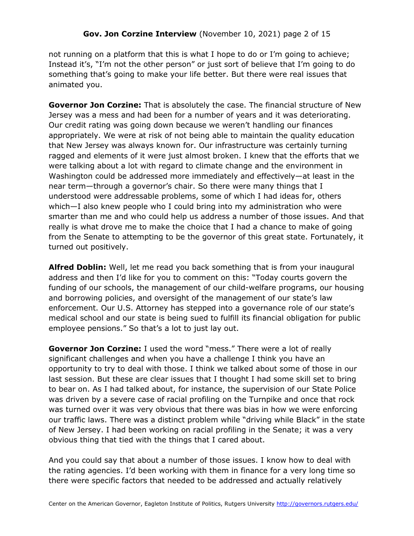not running on a platform that this is what I hope to do or I'm going to achieve; Instead it's, "I'm not the other person" or just sort of believe that I'm going to do something that's going to make your life better. But there were real issues that animated you.

**Governor Jon Corzine:** That is absolutely the case. The financial structure of New Jersey was a mess and had been for a number of years and it was deteriorating. Our credit rating was going down because we weren't handling our finances appropriately. We were at risk of not being able to maintain the quality education that New Jersey was always known for. Our infrastructure was certainly turning ragged and elements of it were just almost broken. I knew that the efforts that we were talking about a lot with regard to climate change and the environment in Washington could be addressed more immediately and effectively—at least in the near term—through a governor's chair. So there were many things that I understood were addressable problems, some of which I had ideas for, others which—I also knew people who I could bring into my administration who were smarter than me and who could help us address a number of those issues. And that really is what drove me to make the choice that I had a chance to make of going from the Senate to attempting to be the governor of this great state. Fortunately, it turned out positively.

**Alfred Doblin:** Well, let me read you back something that is from your inaugural address and then I'd like for you to comment on this: "Today courts govern the funding of our schools, the management of our child-welfare programs, our housing and borrowing policies, and oversight of the management of our state's law enforcement. Our U.S. Attorney has stepped into a governance role of our state's medical school and our state is being sued to fulfill its financial obligation for public employee pensions." So that's a lot to just lay out.

**Governor Jon Corzine:** I used the word "mess." There were a lot of really significant challenges and when you have a challenge I think you have an opportunity to try to deal with those. I think we talked about some of those in our last session. But these are clear issues that I thought I had some skill set to bring to bear on. As I had talked about, for instance, the supervision of our State Police was driven by a severe case of racial profiling on the Turnpike and once that rock was turned over it was very obvious that there was bias in how we were enforcing our traffic laws. There was a distinct problem while "driving while Black" in the state of New Jersey. I had been working on racial profiling in the Senate; it was a very obvious thing that tied with the things that I cared about.

And you could say that about a number of those issues. I know how to deal with the rating agencies. I'd been working with them in finance for a very long time so there were specific factors that needed to be addressed and actually relatively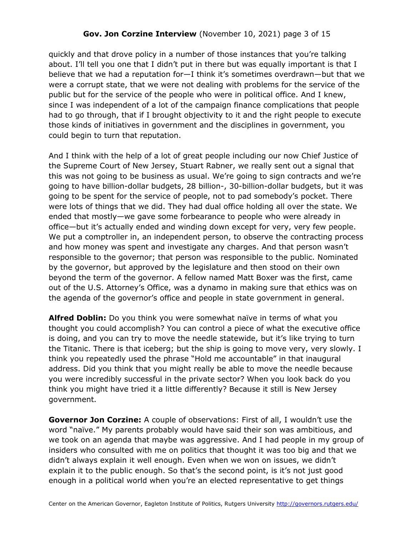# **Gov. Jon Corzine Interview** (November 10, 2021) page 3 of 15

quickly and that drove policy in a number of those instances that you're talking about. I'll tell you one that I didn't put in there but was equally important is that I believe that we had a reputation for—I think it's sometimes overdrawn—but that we were a corrupt state, that we were not dealing with problems for the service of the public but for the service of the people who were in political office. And I knew, since I was independent of a lot of the campaign finance complications that people had to go through, that if I brought objectivity to it and the right people to execute those kinds of initiatives in government and the disciplines in government, you could begin to turn that reputation.

And I think with the help of a lot of great people including our now Chief Justice of the Supreme Court of New Jersey, Stuart Rabner, we really sent out a signal that this was not going to be business as usual. We're going to sign contracts and we're going to have billion-dollar budgets, 28 billion-, 30-billion-dollar budgets, but it was going to be spent for the service of people, not to pad somebody's pocket. There were lots of things that we did. They had dual office holding all over the state. We ended that mostly—we gave some forbearance to people who were already in office—but it's actually ended and winding down except for very, very few people. We put a comptroller in, an independent person, to observe the contracting process and how money was spent and investigate any charges. And that person wasn't responsible to the governor; that person was responsible to the public. Nominated by the governor, but approved by the legislature and then stood on their own beyond the term of the governor. A fellow named Matt Boxer was the first, came out of the U.S. Attorney's Office, was a dynamo in making sure that ethics was on the agenda of the governor's office and people in state government in general.

**Alfred Doblin:** Do you think you were somewhat naïve in terms of what you thought you could accomplish? You can control a piece of what the executive office is doing, and you can try to move the needle statewide, but it's like trying to turn the Titanic. There is that iceberg; but the ship is going to move very, very slowly. I think you repeatedly used the phrase "Hold me accountable" in that inaugural address. Did you think that you might really be able to move the needle because you were incredibly successful in the private sector? When you look back do you think you might have tried it a little differently? Because it still is New Jersey government.

**Governor Jon Corzine:** A couple of observations: First of all, I wouldn't use the word "naïve." My parents probably would have said their son was ambitious, and we took on an agenda that maybe was aggressive. And I had people in my group of insiders who consulted with me on politics that thought it was too big and that we didn't always explain it well enough. Even when we won on issues, we didn't explain it to the public enough. So that's the second point, is it's not just good enough in a political world when you're an elected representative to get things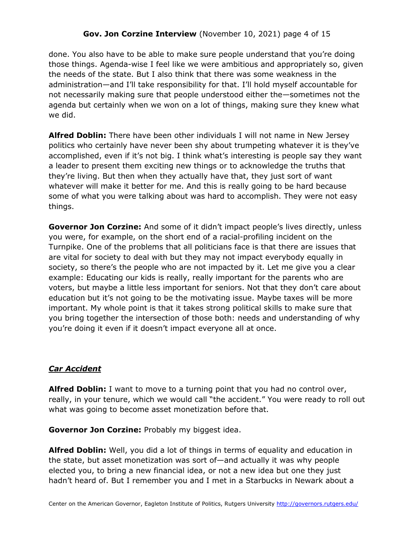# **Gov. Jon Corzine Interview** (November 10, 2021) page 4 of 15

done. You also have to be able to make sure people understand that you're doing those things. Agenda-wise I feel like we were ambitious and appropriately so, given the needs of the state. But I also think that there was some weakness in the administration—and I'll take responsibility for that. I'll hold myself accountable for not necessarily making sure that people understood either the—sometimes not the agenda but certainly when we won on a lot of things, making sure they knew what we did.

**Alfred Doblin:** There have been other individuals I will not name in New Jersey politics who certainly have never been shy about trumpeting whatever it is they've accomplished, even if it's not big. I think what's interesting is people say they want a leader to present them exciting new things or to acknowledge the truths that they're living. But then when they actually have that, they just sort of want whatever will make it better for me. And this is really going to be hard because some of what you were talking about was hard to accomplish. They were not easy things.

**Governor Jon Corzine:** And some of it didn't impact people's lives directly, unless you were, for example, on the short end of a racial-profiling incident on the Turnpike. One of the problems that all politicians face is that there are issues that are vital for society to deal with but they may not impact everybody equally in society, so there's the people who are not impacted by it. Let me give you a clear example: Educating our kids is really, really important for the parents who are voters, but maybe a little less important for seniors. Not that they don't care about education but it's not going to be the motivating issue. Maybe taxes will be more important. My whole point is that it takes strong political skills to make sure that you bring together the intersection of those both: needs and understanding of why you're doing it even if it doesn't impact everyone all at once.

### *Car Accident*

**Alfred Doblin:** I want to move to a turning point that you had no control over, really, in your tenure, which we would call "the accident." You were ready to roll out what was going to become asset monetization before that.

**Governor Jon Corzine:** Probably my biggest idea.

**Alfred Doblin:** Well, you did a lot of things in terms of equality and education in the state, but asset monetization was sort of—and actually it was why people elected you, to bring a new financial idea, or not a new idea but one they just hadn't heard of. But I remember you and I met in a Starbucks in Newark about a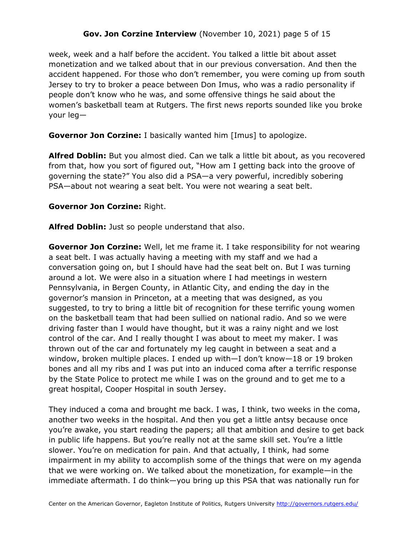# **Gov. Jon Corzine Interview** (November 10, 2021) page 5 of 15

week, week and a half before the accident. You talked a little bit about asset monetization and we talked about that in our previous conversation. And then the accident happened. For those who don't remember, you were coming up from south Jersey to try to broker a peace between Don Imus, who was a radio personality if people don't know who he was, and some offensive things he said about the women's basketball team at Rutgers. The first news reports sounded like you broke your leg—

**Governor Jon Corzine:** I basically wanted him [Imus] to apologize.

**Alfred Doblin:** But you almost died. Can we talk a little bit about, as you recovered from that, how you sort of figured out, "How am I getting back into the groove of governing the state?" You also did a PSA—a very powerful, incredibly sobering PSA—about not wearing a seat belt. You were not wearing a seat belt.

### **Governor Jon Corzine:** Right.

**Alfred Doblin:** Just so people understand that also.

**Governor Jon Corzine:** Well, let me frame it. I take responsibility for not wearing a seat belt. I was actually having a meeting with my staff and we had a conversation going on, but I should have had the seat belt on. But I was turning around a lot. We were also in a situation where I had meetings in western Pennsylvania, in Bergen County, in Atlantic City, and ending the day in the governor's mansion in Princeton, at a meeting that was designed, as you suggested, to try to bring a little bit of recognition for these terrific young women on the basketball team that had been sullied on national radio. And so we were driving faster than I would have thought, but it was a rainy night and we lost control of the car. And I really thought I was about to meet my maker. I was thrown out of the car and fortunately my leg caught in between a seat and a window, broken multiple places. I ended up with—I don't know—18 or 19 broken bones and all my ribs and I was put into an induced coma after a terrific response by the State Police to protect me while I was on the ground and to get me to a great hospital, Cooper Hospital in south Jersey.

They induced a coma and brought me back. I was, I think, two weeks in the coma, another two weeks in the hospital. And then you get a little antsy because once you're awake, you start reading the papers; all that ambition and desire to get back in public life happens. But you're really not at the same skill set. You're a little slower. You're on medication for pain. And that actually, I think, had some impairment in my ability to accomplish some of the things that were on my agenda that we were working on. We talked about the monetization, for example—in the immediate aftermath. I do think—you bring up this PSA that was nationally run for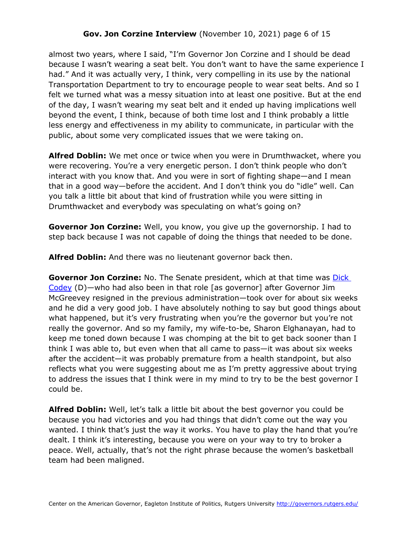## **Gov. Jon Corzine Interview** (November 10, 2021) page 6 of 15

almost two years, where I said, "I'm Governor Jon Corzine and I should be dead because I wasn't wearing a seat belt. You don't want to have the same experience I had." And it was actually very, I think, very compelling in its use by the national Transportation Department to try to encourage people to wear seat belts. And so I felt we turned what was a messy situation into at least one positive. But at the end of the day, I wasn't wearing my seat belt and it ended up having implications well beyond the event, I think, because of both time lost and I think probably a little less energy and effectiveness in my ability to communicate, in particular with the public, about some very complicated issues that we were taking on.

**Alfred Doblin:** We met once or twice when you were in Drumthwacket, where you were recovering. You're a very energetic person. I don't think people who don't interact with you know that. And you were in sort of fighting shape—and I mean that in a good way—before the accident. And I don't think you do "idle" well. Can you talk a little bit about that kind of frustration while you were sitting in Drumthwacket and everybody was speculating on what's going on?

**Governor Jon Corzine:** Well, you know, you give up the governorship. I had to step back because I was not capable of doing the things that needed to be done.

**Alfred Doblin:** And there was no lieutenant governor back then.

**Governor Jon Corzine:** No. The Senate president, which at that time was **Dick** [Codey](https://governors.rutgers.edu/video-library/#video-7974) (D)—who had also been in that role [as governor] after Governor Jim McGreevey resigned in the previous administration—took over for about six weeks and he did a very good job. I have absolutely nothing to say but good things about what happened, but it's very frustrating when you're the governor but you're not really the governor. And so my family, my wife-to-be, Sharon Elghanayan, had to keep me toned down because I was chomping at the bit to get back sooner than I think I was able to, but even when that all came to pass—it was about six weeks after the accident—it was probably premature from a health standpoint, but also reflects what you were suggesting about me as I'm pretty aggressive about trying to address the issues that I think were in my mind to try to be the best governor I could be.

**Alfred Doblin:** Well, let's talk a little bit about the best governor you could be because you had victories and you had things that didn't come out the way you wanted. I think that's just the way it works. You have to play the hand that you're dealt. I think it's interesting, because you were on your way to try to broker a peace. Well, actually, that's not the right phrase because the women's basketball team had been maligned.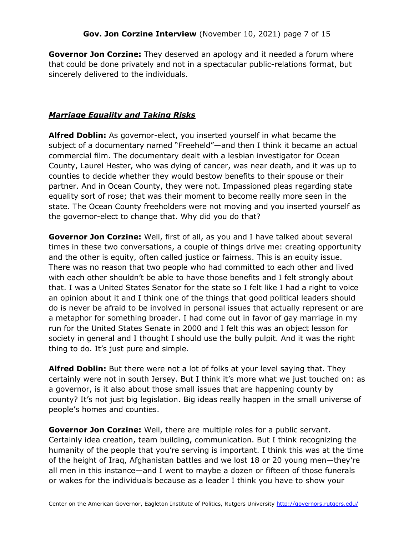**Governor Jon Corzine:** They deserved an apology and it needed a forum where that could be done privately and not in a spectacular public-relations format, but sincerely delivered to the individuals.

# *Marriage Equality and Taking Risks*

**Alfred Doblin:** As governor-elect, you inserted yourself in what became the subject of a documentary named "Freeheld"—and then I think it became an actual commercial film. The documentary dealt with a lesbian investigator for Ocean County, Laurel Hester, who was dying of cancer, was near death, and it was up to counties to decide whether they would bestow benefits to their spouse or their partner. And in Ocean County, they were not. Impassioned pleas regarding state equality sort of rose; that was their moment to become really more seen in the state. The Ocean County freeholders were not moving and you inserted yourself as the governor-elect to change that. Why did you do that?

**Governor Jon Corzine:** Well, first of all, as you and I have talked about several times in these two conversations, a couple of things drive me: creating opportunity and the other is equity, often called justice or fairness. This is an equity issue. There was no reason that two people who had committed to each other and lived with each other shouldn't be able to have those benefits and I felt strongly about that. I was a United States Senator for the state so I felt like I had a right to voice an opinion about it and I think one of the things that good political leaders should do is never be afraid to be involved in personal issues that actually represent or are a metaphor for something broader. I had come out in favor of gay marriage in my run for the United States Senate in 2000 and I felt this was an object lesson for society in general and I thought I should use the bully pulpit. And it was the right thing to do. It's just pure and simple.

**Alfred Doblin:** But there were not a lot of folks at your level saying that. They certainly were not in south Jersey. But I think it's more what we just touched on: as a governor, is it also about those small issues that are happening county by county? It's not just big legislation. Big ideas really happen in the small universe of people's homes and counties.

**Governor Jon Corzine:** Well, there are multiple roles for a public servant. Certainly idea creation, team building, communication. But I think recognizing the humanity of the people that you're serving is important. I think this was at the time of the height of Iraq, Afghanistan battles and we lost 18 or 20 young men—they're all men in this instance—and I went to maybe a dozen or fifteen of those funerals or wakes for the individuals because as a leader I think you have to show your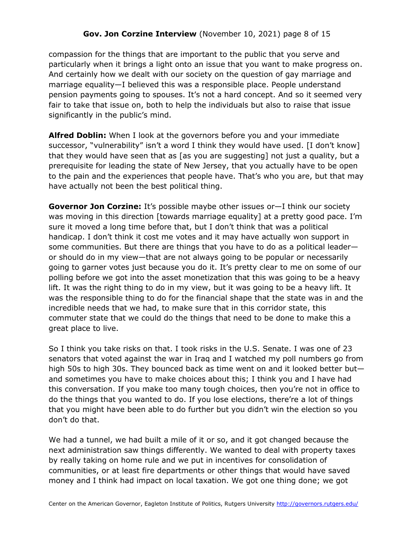compassion for the things that are important to the public that you serve and particularly when it brings a light onto an issue that you want to make progress on. And certainly how we dealt with our society on the question of gay marriage and marriage equality—I believed this was a responsible place. People understand pension payments going to spouses. It's not a hard concept. And so it seemed very fair to take that issue on, both to help the individuals but also to raise that issue significantly in the public's mind.

**Alfred Doblin:** When I look at the governors before you and your immediate successor, "vulnerability" isn't a word I think they would have used. [I don't know] that they would have seen that as [as you are suggesting] not just a quality, but a prerequisite for leading the state of New Jersey, that you actually have to be open to the pain and the experiences that people have. That's who you are, but that may have actually not been the best political thing.

**Governor Jon Corzine:** It's possible maybe other issues or—I think our society was moving in this direction [towards marriage equality] at a pretty good pace. I'm sure it moved a long time before that, but I don't think that was a political handicap. I don't think it cost me votes and it may have actually won support in some communities. But there are things that you have to do as a political leader or should do in my view—that are not always going to be popular or necessarily going to garner votes just because you do it. It's pretty clear to me on some of our polling before we got into the asset monetization that this was going to be a heavy lift. It was the right thing to do in my view, but it was going to be a heavy lift. It was the responsible thing to do for the financial shape that the state was in and the incredible needs that we had, to make sure that in this corridor state, this commuter state that we could do the things that need to be done to make this a great place to live.

So I think you take risks on that. I took risks in the U.S. Senate. I was one of 23 senators that voted against the war in Iraq and I watched my poll numbers go from high 50s to high 30s. They bounced back as time went on and it looked better but and sometimes you have to make choices about this; I think you and I have had this conversation. If you make too many tough choices, then you're not in office to do the things that you wanted to do. If you lose elections, there're a lot of things that you might have been able to do further but you didn't win the election so you don't do that.

We had a tunnel, we had built a mile of it or so, and it got changed because the next administration saw things differently. We wanted to deal with property taxes by really taking on home rule and we put in incentives for consolidation of communities, or at least fire departments or other things that would have saved money and I think had impact on local taxation. We got one thing done; we got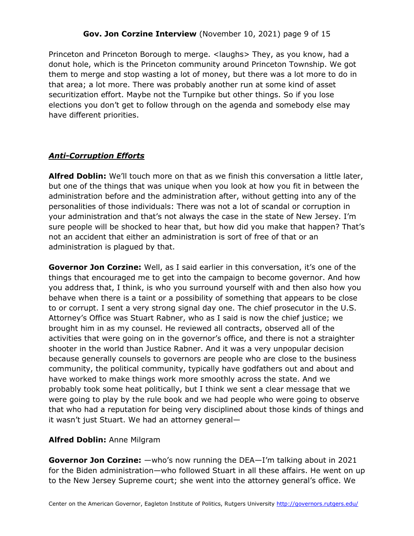# **Gov. Jon Corzine Interview** (November 10, 2021) page 9 of 15

Princeton and Princeton Borough to merge. <laughs> They, as you know, had a donut hole, which is the Princeton community around Princeton Township. We got them to merge and stop wasting a lot of money, but there was a lot more to do in that area; a lot more. There was probably another run at some kind of asset securitization effort. Maybe not the Turnpike but other things. So if you lose elections you don't get to follow through on the agenda and somebody else may have different priorities.

## *Anti-Corruption Efforts*

**Alfred Doblin:** We'll touch more on that as we finish this conversation a little later, but one of the things that was unique when you look at how you fit in between the administration before and the administration after, without getting into any of the personalities of those individuals: There was not a lot of scandal or corruption in your administration and that's not always the case in the state of New Jersey. I'm sure people will be shocked to hear that, but how did you make that happen? That's not an accident that either an administration is sort of free of that or an administration is plagued by that.

**Governor Jon Corzine:** Well, as I said earlier in this conversation, it's one of the things that encouraged me to get into the campaign to become governor. And how you address that, I think, is who you surround yourself with and then also how you behave when there is a taint or a possibility of something that appears to be close to or corrupt. I sent a very strong signal day one. The chief prosecutor in the U.S. Attorney's Office was Stuart Rabner, who as I said is now the chief justice; we brought him in as my counsel. He reviewed all contracts, observed all of the activities that were going on in the governor's office, and there is not a straighter shooter in the world than Justice Rabner. And it was a very unpopular decision because generally counsels to governors are people who are close to the business community, the political community, typically have godfathers out and about and have worked to make things work more smoothly across the state. And we probably took some heat politically, but I think we sent a clear message that we were going to play by the rule book and we had people who were going to observe that who had a reputation for being very disciplined about those kinds of things and it wasn't just Stuart. We had an attorney general—

### **Alfred Doblin:** Anne Milgram

**Governor Jon Corzine:** —who's now running the DEA—I'm talking about in 2021 for the Biden administration—who followed Stuart in all these affairs. He went on up to the New Jersey Supreme court; she went into the attorney general's office. We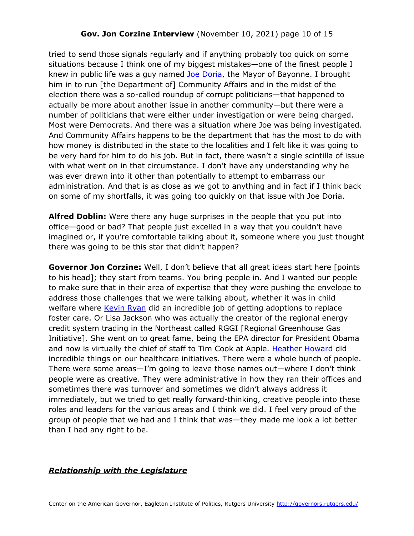### **Gov. Jon Corzine Interview** (November 10, 2021) page 10 of 15

tried to send those signals regularly and if anything probably too quick on some situations because I think one of my biggest mistakes—one of the finest people I knew in public life was a guy named **Joe Doria**, the Mayor of Bayonne. I brought him in to run [the Department of] Community Affairs and in the midst of the election there was a so-called roundup of corrupt politicians—that happened to actually be more about another issue in another community—but there were a number of politicians that were either under investigation or were being charged. Most were Democrats. And there was a situation where Joe was being investigated. And Community Affairs happens to be the department that has the most to do with how money is distributed in the state to the localities and I felt like it was going to be very hard for him to do his job. But in fact, there wasn't a single scintilla of issue with what went on in that circumstance. I don't have any understanding why he was ever drawn into it other than potentially to attempt to embarrass our administration. And that is as close as we got to anything and in fact if I think back on some of my shortfalls, it was going too quickly on that issue with Joe Doria.

**Alfred Doblin:** Were there any huge surprises in the people that you put into office—good or bad? That people just excelled in a way that you couldn't have imagined or, if you're comfortable talking about it, someone where you just thought there was going to be this star that didn't happen?

**Governor Jon Corzine:** Well, I don't believe that all great ideas start here [points to his head]; they start from teams. You bring people in. And I wanted our people to make sure that in their area of expertise that they were pushing the envelope to address those challenges that we were talking about, whether it was in child welfare where [Kevin Ryan](https://governors.rutgers.edu/video-library/#video-11008) did an incredible job of getting adoptions to replace foster care. Or Lisa Jackson who was actually the creator of the regional energy credit system trading in the Northeast called RGGI [Regional Greenhouse Gas Initiative]. She went on to great fame, being the EPA director for President Obama and now is virtually the chief of staff to Tim Cook at Apple. [Heather Howard](https://governors.rutgers.edu/video-library/#video-8637) did incredible things on our healthcare initiatives. There were a whole bunch of people. There were some areas—I'm going to leave those names out—where I don't think people were as creative. They were administrative in how they ran their offices and sometimes there was turnover and sometimes we didn't always address it immediately, but we tried to get really forward-thinking, creative people into these roles and leaders for the various areas and I think we did. I feel very proud of the group of people that we had and I think that was—they made me look a lot better than I had any right to be.

### *Relationship with the Legislature*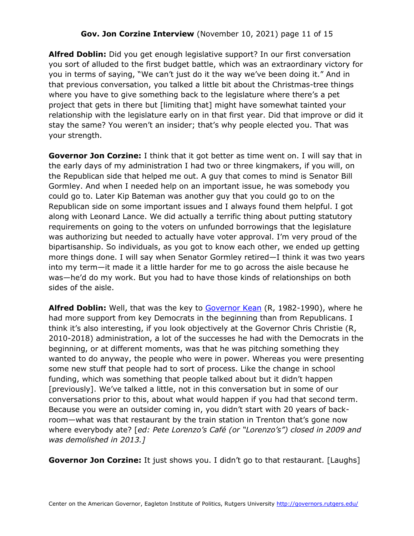**Alfred Doblin:** Did you get enough legislative support? In our first conversation you sort of alluded to the first budget battle, which was an extraordinary victory for you in terms of saying, "We can't just do it the way we've been doing it." And in that previous conversation, you talked a little bit about the Christmas-tree things where you have to give something back to the legislature where there's a pet project that gets in there but [limiting that] might have somewhat tainted your relationship with the legislature early on in that first year. Did that improve or did it stay the same? You weren't an insider; that's why people elected you. That was your strength.

**Governor Jon Corzine:** I think that it got better as time went on. I will say that in the early days of my administration I had two or three kingmakers, if you will, on the Republican side that helped me out. A guy that comes to mind is Senator Bill Gormley. And when I needed help on an important issue, he was somebody you could go to. Later Kip Bateman was another guy that you could go to on the Republican side on some important issues and I always found them helpful. I got along with Leonard Lance. We did actually a terrific thing about putting statutory requirements on going to the voters on unfunded borrowings that the legislature was authorizing but needed to actually have voter approval. I'm very proud of the bipartisanship. So individuals, as you got to know each other, we ended up getting more things done. I will say when Senator Gormley retired—I think it was two years into my term—it made it a little harder for me to go across the aisle because he was—he'd do my work. But you had to have those kinds of relationships on both sides of the aisle.

**Alfred Doblin:** Well, that was the key to [Governor Kean](https://governors.rutgers.edu/governor-thomas-h-kean-archive/) (R, 1982-1990), where he had more support from key Democrats in the beginning than from Republicans. I think it's also interesting, if you look objectively at the Governor Chris Christie (R, 2010-2018) administration, a lot of the successes he had with the Democrats in the beginning, or at different moments, was that he was pitching something they wanted to do anyway, the people who were in power. Whereas you were presenting some new stuff that people had to sort of process. Like the change in school funding, which was something that people talked about but it didn't happen [previously]. We've talked a little, not in this conversation but in some of our conversations prior to this, about what would happen if you had that second term. Because you were an outsider coming in, you didn't start with 20 years of backroom—what was that restaurant by the train station in Trenton that's gone now where everybody ate? [*ed: Pete Lorenzo's Café (or "Lorenzo's") closed in 2009 and was demolished in 2013.]*

**Governor Jon Corzine:** It just shows you. I didn't go to that restaurant. [Laughs]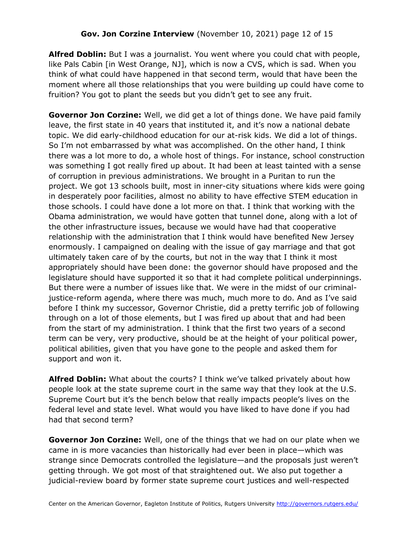**Alfred Doblin:** But I was a journalist. You went where you could chat with people, like Pals Cabin [in West Orange, NJ], which is now a CVS, which is sad. When you think of what could have happened in that second term, would that have been the moment where all those relationships that you were building up could have come to fruition? You got to plant the seeds but you didn't get to see any fruit.

**Governor Jon Corzine:** Well, we did get a lot of things done. We have paid family leave, the first state in 40 years that instituted it, and it's now a national debate topic. We did early-childhood education for our at-risk kids. We did a lot of things. So I'm not embarrassed by what was accomplished. On the other hand, I think there was a lot more to do, a whole host of things. For instance, school construction was something I got really fired up about. It had been at least tainted with a sense of corruption in previous administrations. We brought in a Puritan to run the project. We got 13 schools built, most in inner-city situations where kids were going in desperately poor facilities, almost no ability to have effective STEM education in those schools. I could have done a lot more on that. I think that working with the Obama administration, we would have gotten that tunnel done, along with a lot of the other infrastructure issues, because we would have had that cooperative relationship with the administration that I think would have benefited New Jersey enormously. I campaigned on dealing with the issue of gay marriage and that got ultimately taken care of by the courts, but not in the way that I think it most appropriately should have been done: the governor should have proposed and the legislature should have supported it so that it had complete political underpinnings. But there were a number of issues like that. We were in the midst of our criminaljustice-reform agenda, where there was much, much more to do. And as I've said before I think my successor, Governor Christie, did a pretty terrific job of following through on a lot of those elements, but I was fired up about that and had been from the start of my administration. I think that the first two years of a second term can be very, very productive, should be at the height of your political power, political abilities, given that you have gone to the people and asked them for support and won it.

**Alfred Doblin:** What about the courts? I think we've talked privately about how people look at the state supreme court in the same way that they look at the U.S. Supreme Court but it's the bench below that really impacts people's lives on the federal level and state level. What would you have liked to have done if you had had that second term?

**Governor Jon Corzine:** Well, one of the things that we had on our plate when we came in is more vacancies than historically had ever been in place—which was strange since Democrats controlled the legislature—and the proposals just weren't getting through. We got most of that straightened out. We also put together a judicial-review board by former state supreme court justices and well-respected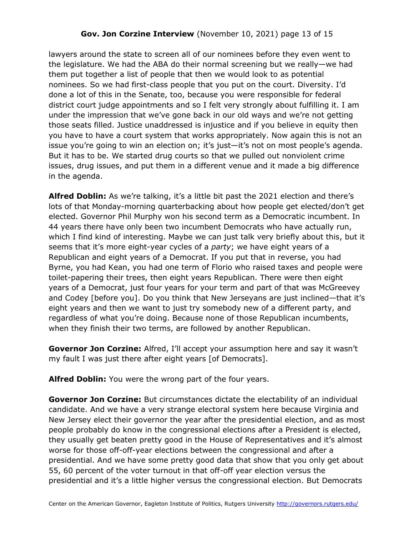## **Gov. Jon Corzine Interview** (November 10, 2021) page 13 of 15

lawyers around the state to screen all of our nominees before they even went to the legislature. We had the ABA do their normal screening but we really—we had them put together a list of people that then we would look to as potential nominees. So we had first-class people that you put on the court. Diversity. I'd done a lot of this in the Senate, too, because you were responsible for federal district court judge appointments and so I felt very strongly about fulfilling it. I am under the impression that we've gone back in our old ways and we're not getting those seats filled. Justice unaddressed is injustice and if you believe in equity then you have to have a court system that works appropriately. Now again this is not an issue you're going to win an election on; it's just—it's not on most people's agenda. But it has to be. We started drug courts so that we pulled out nonviolent crime issues, drug issues, and put them in a different venue and it made a big difference in the agenda.

**Alfred Doblin:** As we're talking, it's a little bit past the 2021 election and there's lots of that Monday-morning quarterbacking about how people get elected/don't get elected. Governor Phil Murphy won his second term as a Democratic incumbent. In 44 years there have only been two incumbent Democrats who have actually run, which I find kind of interesting. Maybe we can just talk very briefly about this, but it seems that it's more eight-year cycles of a *party*; we have eight years of a Republican and eight years of a Democrat. If you put that in reverse, you had Byrne, you had Kean, you had one term of Florio who raised taxes and people were toilet-papering their trees, then eight years Republican. There were then eight years of a Democrat, just four years for your term and part of that was McGreevey and Codey [before you]. Do you think that New Jerseyans are just inclined—that it's eight years and then we want to just try somebody new of a different party, and regardless of what you're doing. Because none of those Republican incumbents, when they finish their two terms, are followed by another Republican.

**Governor Jon Corzine:** Alfred, I'll accept your assumption here and say it wasn't my fault I was just there after eight years [of Democrats].

**Alfred Doblin:** You were the wrong part of the four years.

**Governor Jon Corzine:** But circumstances dictate the electability of an individual candidate. And we have a very strange electoral system here because Virginia and New Jersey elect their governor the year after the presidential election, and as most people probably do know in the congressional elections after a President is elected, they usually get beaten pretty good in the House of Representatives and it's almost worse for those off-off-year elections between the congressional and after a presidential. And we have some pretty good data that show that you only get about 55, 60 percent of the voter turnout in that off-off year election versus the presidential and it's a little higher versus the congressional election. But Democrats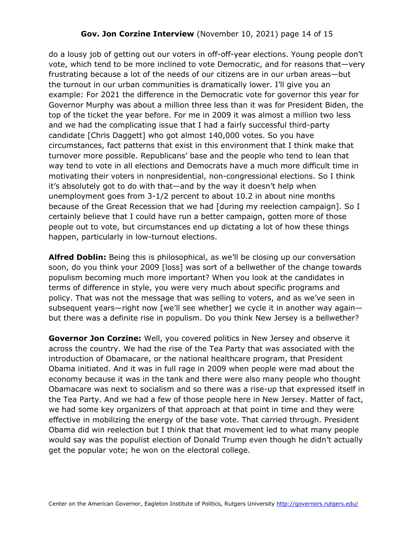## **Gov. Jon Corzine Interview** (November 10, 2021) page 14 of 15

do a lousy job of getting out our voters in off-off-year elections. Young people don't vote, which tend to be more inclined to vote Democratic, and for reasons that—very frustrating because a lot of the needs of our citizens are in our urban areas—but the turnout in our urban communities is dramatically lower. I'll give you an example: For 2021 the difference in the Democratic vote for governor this year for Governor Murphy was about a million three less than it was for President Biden, the top of the ticket the year before. For me in 2009 it was almost a million two less and we had the complicating issue that I had a fairly successful third-party candidate [Chris Daggett] who got almost 140,000 votes. So you have circumstances, fact patterns that exist in this environment that I think make that turnover more possible. Republicans' base and the people who tend to lean that way tend to vote in all elections and Democrats have a much more difficult time in motivating their voters in nonpresidential, non-congressional elections. So I think it's absolutely got to do with that—and by the way it doesn't help when unemployment goes from 3-1/2 percent to about 10.2 in about nine months because of the Great Recession that we had [during my reelection campaign]. So I certainly believe that I could have run a better campaign, gotten more of those people out to vote, but circumstances end up dictating a lot of how these things happen, particularly in low-turnout elections.

**Alfred Doblin:** Being this is philosophical, as we'll be closing up our conversation soon, do you think your 2009 [loss] was sort of a bellwether of the change towards populism becoming much more important? When you look at the candidates in terms of difference in style, you were very much about specific programs and policy. That was not the message that was selling to voters, and as we've seen in subsequent years—right now [we'll see whether] we cycle it in another way again but there was a definite rise in populism. Do you think New Jersey is a bellwether?

**Governor Jon Corzine:** Well, you covered politics in New Jersey and observe it across the country. We had the rise of the Tea Party that was associated with the introduction of Obamacare, or the national healthcare program, that President Obama initiated. And it was in full rage in 2009 when people were mad about the economy because it was in the tank and there were also many people who thought Obamacare was next to socialism and so there was a rise-up that expressed itself in the Tea Party. And we had a few of those people here in New Jersey. Matter of fact, we had some key organizers of that approach at that point in time and they were effective in mobilizing the energy of the base vote. That carried through. President Obama did win reelection but I think that that movement led to what many people would say was the populist election of Donald Trump even though he didn't actually get the popular vote; he won on the electoral college.